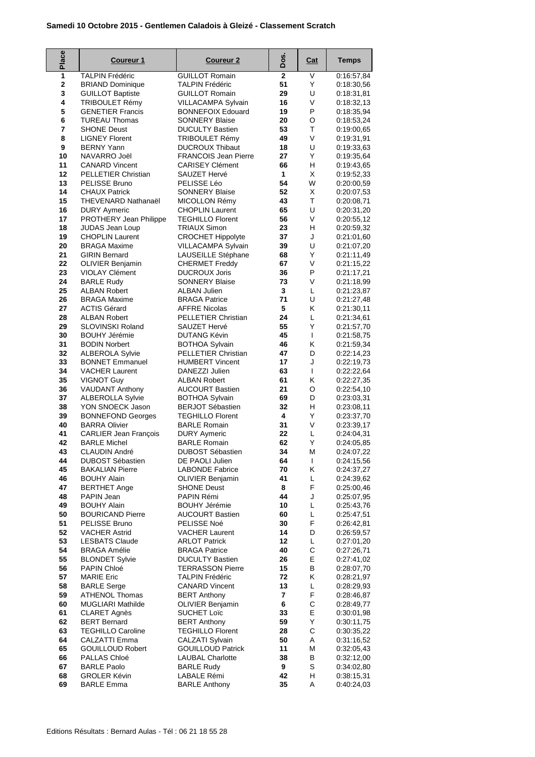## **Samedi 10 Octobre 2015 - Gentlemen Caladois à Gleizé - Classement Scratch**

| Place       | <b>Coureur 1</b>                                     | <b>Coureur 2</b>                                      | Dos.           | <u>Cat</u> | <b>Temps</b>             |
|-------------|------------------------------------------------------|-------------------------------------------------------|----------------|------------|--------------------------|
| 1           | <b>TALPIN Frédéric</b>                               | <b>GUILLOT Romain</b>                                 | $\overline{2}$ | V          | 0:16:57,84               |
| $\mathbf 2$ | <b>BRIAND Dominique</b>                              | <b>TALPIN Frédéric</b>                                | 51             | Y          | 0:18:30,56               |
| 3<br>4      | <b>GUILLOT Baptiste</b><br><b>TRIBOULET Rémy</b>     | <b>GUILLOT Romain</b><br>VILLACAMPA Sylvain           | 29<br>16       | U<br>V     | 0:18:31,81<br>0:18:32,13 |
| 5           | <b>GENETIER Francis</b>                              | <b>BONNEFOIX Edouard</b>                              | 19             | P          | 0:18:35.94               |
| 6           | <b>TUREAU Thomas</b>                                 | <b>SONNERY Blaise</b>                                 | 20             | O          | 0:18:53,24               |
| 7           | <b>SHONE Deust</b>                                   | <b>DUCULTY Bastien</b>                                | 53             | Τ          | 0:19:00,65               |
| 8           | <b>LIGNEY Florent</b>                                | <b>TRIBOULET Rémy</b>                                 | 49             | V          | 0:19:31,91               |
| 9           | <b>BERNY Yann</b>                                    | <b>DUCROUX Thibaut</b>                                | 18             | U          | 0:19:33,63               |
| 10          | NAVARRO Joël                                         | <b>FRANCOIS Jean Pierre</b><br><b>CARISEY Clément</b> | 27             | Υ          | 0:19:35,64               |
| 11<br>12    | <b>CANARD Vincent</b><br><b>PELLETIER Christian</b>  | SAUZET Hervé                                          | 66<br>1        | н<br>X     | 0:19:43,65<br>0:19:52,33 |
| 13          | PELISSE Bruno                                        | PELISSE Léo                                           | 54             | W          | 0:20:00,59               |
| 14          | <b>CHAUX Patrick</b>                                 | <b>SONNERY Blaise</b>                                 | 52             | X          | 0:20:07,53               |
| 15          | THEVENARD Nathanaël                                  | MICOLLON Rémy                                         | 43             | T          | 0:20:08,71               |
| 16          | <b>DURY Aymeric</b>                                  | <b>CHOPLIN Laurent</b>                                | 65             | U          | 0:20:31,20               |
| 17          | PROTHERY Jean Philippe                               | <b>TEGHILLO Florent</b>                               | 56             | V          | 0:20:55,12               |
| 18<br>19    | JUDAS Jean Loup                                      | <b>TRIAUX Simon</b>                                   | 23<br>37       | н          | 0:20:59,32               |
| 20          | <b>CHOPLIN Laurent</b><br><b>BRAGA Maxime</b>        | <b>CROCHET Hippolyte</b><br>VILLACAMPA Sylvain        | 39             | J<br>U     | 0:21:01.60<br>0:21:07,20 |
| 21          | <b>GIRIN Bernard</b>                                 | LAUSEILLE Stéphane                                    | 68             | Υ          | 0:21:11.49               |
| 22          | <b>OLIVIER Benjamin</b>                              | <b>CHERMET Freddy</b>                                 | 67             | V          | 0:21:15,22               |
| 23          | <b>VIOLAY Clément</b>                                | <b>DUCROUX Joris</b>                                  | 36             | P          | 0:21:17,21               |
| 24          | <b>BARLE Rudy</b>                                    | <b>SONNERY Blaise</b>                                 | 73             | V          | 0:21:18.99               |
| 25          | <b>ALBAN Robert</b>                                  | <b>ALBAN Julien</b>                                   | 3              | L          | 0:21:23,87               |
| 26<br>27    | <b>BRAGA Maxime</b><br><b>ACTIS Gérard</b>           | <b>BRAGA Patrice</b><br><b>AFFRE Nicolas</b>          | 71<br>5        | U<br>Κ     | 0:21:27,48               |
| 28          | <b>ALBAN Robert</b>                                  | <b>PELLETIER Christian</b>                            | 24             | L          | 0:21:30,11<br>0:21:34,61 |
| 29          | SLOVINSKI Roland                                     | SAUZET Hervé                                          | 55             | Y          | 0:21:57,70               |
| 30          | <b>BOUHY Jérémie</b>                                 | <b>DUTANG Kévin</b>                                   | 45             | L          | 0:21:58,75               |
| 31          | <b>BODIN Norbert</b>                                 | <b>BOTHOA Sylvain</b>                                 | 46             | Κ          | 0:21:59,34               |
| 32          | <b>ALBEROLA Sylvie</b>                               | PELLETIER Christian                                   | 47             | D          | 0:22:14,23               |
| 33          | <b>BONNET Emmanuel</b>                               | <b>HUMBERT Vincent</b>                                | 17             | J          | 0:22:19,73               |
| 34<br>35    | <b>VACHER Laurent</b><br><b>VIGNOT Guy</b>           | DANEZZI Julien<br><b>ALBAN Robert</b>                 | 63<br>61       | L<br>Κ     | 0:22:22,64<br>0:22:27,35 |
| 36          | <b>VAUDANT Anthony</b>                               | <b>AUCOURT Bastien</b>                                | 21             | O          | 0:22:54,10               |
| 37          | <b>ALBEROLLA Sylvie</b>                              | <b>BOTHOA Sylvain</b>                                 | 69             | D          | 0:23:03,31               |
| 38          | YON SNOECK Jason                                     | <b>BERJOT Sébastien</b>                               | 32             | H          | 0:23:08,11               |
| 39          | <b>BONNEFOND Georges</b>                             | <b>TEGHILLO Florent</b>                               | 4              | Υ          | 0:23:37,70               |
| 40          | <b>BARRA Olivier</b><br><b>CARLIER Jean Francois</b> | <b>BARLE Romain</b><br><b>DURY Aymeric</b>            | 31             | V          | 0:23:39,17               |
| 41<br>42    | <b>BARLE Michel</b>                                  | <b>BARLE Romain</b>                                   | 22<br>62       | L<br>Υ     | 0:24:04,31<br>0:24:05,85 |
| 43          | <b>CLAUDIN André</b>                                 | DUBOST Sébastien                                      | 34             | M          | 0.24:07,22               |
| 44          | <b>DUBOST Sébastien</b>                              | DE PAOLI Julien                                       | 64             | L          | 0:24:15,56               |
| 45          | <b>BAKALIAN Pierre</b>                               | <b>LABONDE Fabrice</b>                                | 70             | Κ          | 0:24:37,27               |
| 46          | <b>BOUHY Alain</b>                                   | <b>OLIVIER Benjamin</b>                               | 41             | L          | 0:24:39,62               |
| 47          | <b>BERTHET Ange</b>                                  | <b>SHONE Deust</b>                                    | 8              | F          | 0:25:00,46               |
| 48<br>49    | PAPIN Jean<br><b>BOUHY Alain</b>                     | PAPIN Rémi<br><b>BOUHY Jérémie</b>                    | 44<br>10       | J<br>L     | 0:25:07.95<br>0:25:43,76 |
| 50          | <b>BOURICAND Pierre</b>                              | <b>AUCOURT Bastien</b>                                | 60             | Г          | 0:25:47,51               |
| 51          | PELISSE Bruno                                        | PELISSE Noé                                           | 30             | F          | 0:26:42,81               |
| 52          | <b>VACHER Astrid</b>                                 | <b>VACHER Laurent</b>                                 | 14             | D          | 0:26:59,57               |
| 53          | <b>LESBATS Claude</b>                                | <b>ARLOT Patrick</b>                                  | 12             | L          | 0:27:01,20               |
| 54          | <b>BRAGA Amélie</b>                                  | <b>BRAGA Patrice</b>                                  | 40             | С          | 0:27:26,71               |
| 55<br>56    | <b>BLONDET Sylvie</b><br>PAPIN Chloé                 | <b>DUCULTY Bastien</b><br><b>TERRASSON Pierre</b>     | 26<br>15       | Е<br>В     | 0:27:41,02<br>0:28:07,70 |
| 57          | <b>MARIE Eric</b>                                    | <b>TALPIN Frédéric</b>                                | 72             | Κ          | 0:28:21,97               |
| 58          | <b>BARLE Serge</b>                                   | <b>CANARD Vincent</b>                                 | 13             | Г          | 0:28:29,93               |
| 59          | <b>ATHENOL Thomas</b>                                | <b>BERT Anthony</b>                                   | 7              | F          | 0:28:46,87               |
| 60          | <b>MUGLIARI Mathilde</b>                             | <b>OLIVIER Benjamin</b>                               | 6              | С          | 0:28:49,77               |
| 61          | <b>CLARET Agnès</b>                                  | <b>SUCHET Loïc</b>                                    | 33             | E          | 0:30:01,98               |
| 62<br>63    | <b>BERT Bernard</b><br><b>TEGHILLO Caroline</b>      | <b>BERT Anthony</b><br><b>TEGHILLO Florent</b>        | 59<br>28       | Y<br>С     | 0:30:11,75               |
| 64          | CALZATTI Emma                                        | CALZATI Sylvain                                       | 50             | Α          | 0:30:35,22<br>0:31:16,52 |
| 65          | <b>GOUILLOUD Robert</b>                              | <b>GOUILLOUD Patrick</b>                              | 11             | M          | 0:32:05,43               |
| 66          | PALLAS Chloé                                         | <b>LAUBAL Charlotte</b>                               | 38             | В          | 0:32:12,00               |
| 67          | <b>BARLE Paolo</b>                                   | <b>BARLE Rudy</b>                                     | 9              | S          | 0:34:02,80               |
| 68          | <b>GROLER Kévin</b>                                  | LABALE Rémi                                           | 42             | H          | 0:38:15,31               |
| 69          | <b>BARLE Emma</b>                                    | <b>BARLE Anthony</b>                                  | 35             | Α          | 0:40:24,03               |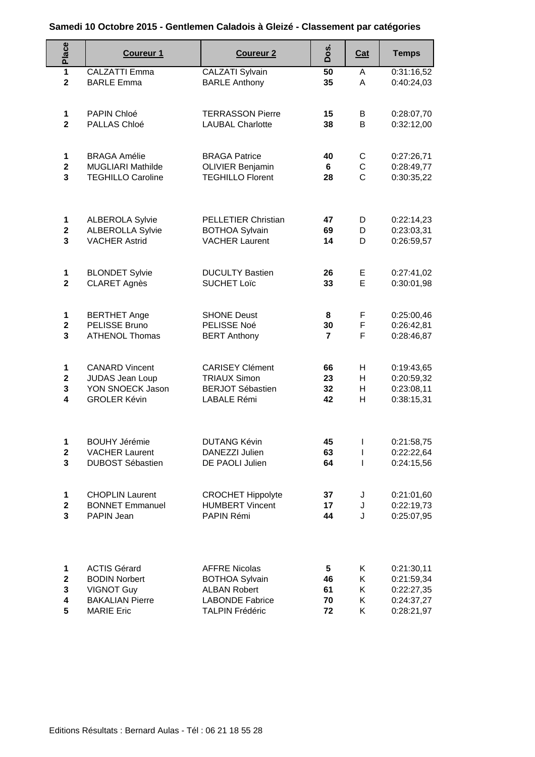## **Samedi 10 Octobre 2015 - Gentlemen Caladois à Gleizé - Classement par catégories**

| Place                        | <b>Coureur 1</b>                                     | <b>Coureur 2</b>                                   | Dos.                 | <b>Cat</b>                    | <b>Temps</b>             |
|------------------------------|------------------------------------------------------|----------------------------------------------------|----------------------|-------------------------------|--------------------------|
| $\overline{1}$               | <b>CALZATTI Emma</b>                                 | <b>CALZATI Sylvain</b>                             | 50                   | A                             | 0:31:16,52               |
| $\overline{\mathbf{2}}$      | <b>BARLE Emma</b>                                    | <b>BARLE Anthony</b>                               | 35                   | A                             | 0:40:24,03               |
| 1                            | PAPIN Chloé                                          | <b>TERRASSON Pierre</b>                            | 15                   | B                             | 0:28:07,70               |
| $\overline{2}$               | PALLAS Chloé                                         | <b>LAUBAL Charlotte</b>                            | 38                   | B                             | 0:32:12,00               |
| 1                            | <b>BRAGA Amélie</b>                                  | <b>BRAGA Patrice</b>                               | 40                   | С                             | 0:27:26,71               |
| $\mathbf{2}$<br>3            | <b>MUGLIARI Mathilde</b><br><b>TEGHILLO Caroline</b> | <b>OLIVIER Benjamin</b><br><b>TEGHILLO Florent</b> | 6<br>28              | $\mathsf C$<br>$\overline{C}$ | 0:28:49,77<br>0:30:35,22 |
|                              |                                                      |                                                    |                      |                               |                          |
| 1                            | <b>ALBEROLA Sylvie</b>                               | PELLETIER Christian                                | 47                   | D                             | 0:22:14,23               |
| $\mathbf{2}$<br>3            | <b>ALBEROLLA Sylvie</b><br><b>VACHER Astrid</b>      | <b>BOTHOA Sylvain</b><br><b>VACHER Laurent</b>     | 69<br>14             | D<br>D                        | 0:23:03,31<br>0:26:59,57 |
|                              |                                                      |                                                    |                      |                               |                          |
| 1                            | <b>BLONDET Sylvie</b>                                | <b>DUCULTY Bastien</b>                             | 26                   | Е                             | 0:27:41,02               |
| $\overline{\mathbf{2}}$      | <b>CLARET Agnès</b>                                  | <b>SUCHET Loïc</b>                                 | 33                   | E                             | 0:30:01,98               |
| 1                            | <b>BERTHET Ange</b>                                  | <b>SHONE Deust</b>                                 | 8                    | F.                            | 0:25:00,46               |
| $\overline{\mathbf{2}}$<br>3 | PELISSE Bruno                                        | PELISSE Noé                                        | 30<br>$\overline{7}$ | F<br>F                        | 0:26:42,81               |
|                              | <b>ATHENOL Thomas</b>                                | <b>BERT Anthony</b>                                |                      |                               | 0:28:46,87               |
| $\mathbf 1$                  | <b>CANARD Vincent</b>                                | <b>CARISEY Clément</b>                             | 66                   | H.                            | 0:19:43,65               |
| $\mathbf{2}$                 | JUDAS Jean Loup<br>YON SNOECK Jason                  | <b>TRIAUX Simon</b><br><b>BERJOT Sébastien</b>     | 23<br>32             | H.<br>H                       | 0:20:59,32               |
| 3<br>4                       | <b>GROLER Kévin</b>                                  | <b>LABALE Rémi</b>                                 | 42                   | H                             | 0:23:08,11<br>0:38:15,31 |
|                              |                                                      |                                                    |                      |                               |                          |
| 1                            | <b>BOUHY Jérémie</b>                                 | <b>DUTANG Kévin</b>                                | 45                   | J.                            | 0:21:58,75               |
| $\mathbf{2}$                 | <b>VACHER Laurent</b>                                | DANEZZI Julien                                     | 63                   | L                             | 0:22:22,64               |
| 3                            | <b>DUBOST Sébastien</b>                              | DE PAOLI Julien                                    | 64                   | $\mathbf{I}$                  | 0:24:15,56               |
| 1                            | <b>CHOPLIN Laurent</b>                               | <b>CROCHET Hippolyte</b>                           | 37                   | J                             | 0:21:01,60               |
| $\mathbf{2}$<br>3            | <b>BONNET Emmanuel</b><br>PAPIN Jean                 | <b>HUMBERT Vincent</b><br>PAPIN Rémi               | 17<br>44             | J<br>J                        | 0:22:19,73<br>0:25:07,95 |
|                              |                                                      |                                                    |                      |                               |                          |
| 1                            | <b>ACTIS Gérard</b>                                  | <b>AFFRE Nicolas</b>                               | 5                    | K.                            | 0:21:30,11               |
| $\mathbf{2}$                 | <b>BODIN Norbert</b>                                 | <b>BOTHOA Sylvain</b>                              | 46                   | Κ                             | 0:21:59,34               |
| 3                            | <b>VIGNOT Guy</b>                                    | <b>ALBAN Robert</b>                                | 61                   | K.                            | 0:22:27,35               |
| 4<br>5                       | <b>BAKALIAN Pierre</b><br><b>MARIE Eric</b>          | <b>LABONDE Fabrice</b><br><b>TALPIN Frédéric</b>   | 70<br>72             | K<br>K                        | 0:24:37,27<br>0:28:21,97 |
|                              |                                                      |                                                    |                      |                               |                          |